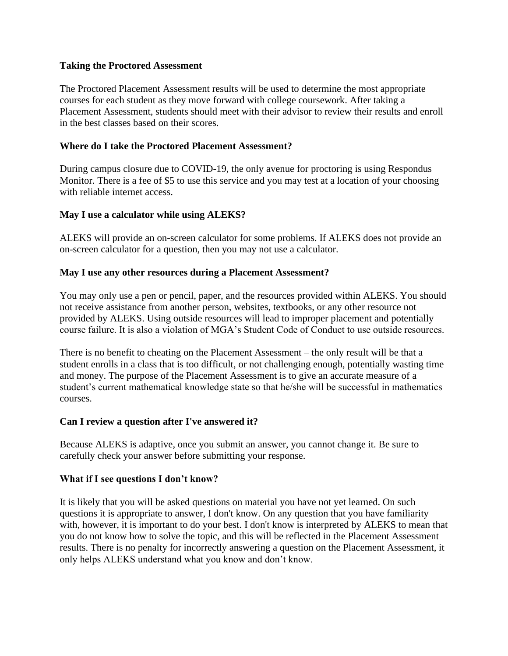#### **Taking the Proctored Assessment**

The Proctored Placement Assessment results will be used to determine the most appropriate courses for each student as they move forward with college coursework. After taking a Placement Assessment, students should meet with their advisor to review their results and enroll in the best classes based on their scores.

### **Where do I take the Proctored Placement Assessment?**

During campus closure due to COVID-19, the only avenue for proctoring is using Respondus Monitor. There is a fee of \$5 to use this service and you may test at a location of your choosing with reliable internet access.

### **May I use a calculator while using ALEKS?**

ALEKS will provide an on-screen calculator for some problems. If ALEKS does not provide an on-screen calculator for a question, then you may not use a calculator.

#### **May I use any other resources during a Placement Assessment?**

You may only use a pen or pencil, paper, and the resources provided within ALEKS. You should not receive assistance from another person, websites, textbooks, or any other resource not provided by ALEKS. Using outside resources will lead to improper placement and potentially course failure. It is also a violation of MGA's Student Code of Conduct to use outside resources.

There is no benefit to cheating on the Placement Assessment – the only result will be that a student enrolls in a class that is too difficult, or not challenging enough, potentially wasting time and money. The purpose of the Placement Assessment is to give an accurate measure of a student's current mathematical knowledge state so that he/she will be successful in mathematics courses.

## **Can I review a question after I've answered it?**

Because ALEKS is adaptive, once you submit an answer, you cannot change it. Be sure to carefully check your answer before submitting your response.

#### **What if I see questions I don't know?**

It is likely that you will be asked questions on material you have not yet learned. On such questions it is appropriate to answer, I don't know. On any question that you have familiarity with, however, it is important to do your best. I don't know is interpreted by ALEKS to mean that you do not know how to solve the topic, and this will be reflected in the Placement Assessment results. There is no penalty for incorrectly answering a question on the Placement Assessment, it only helps ALEKS understand what you know and don't know.